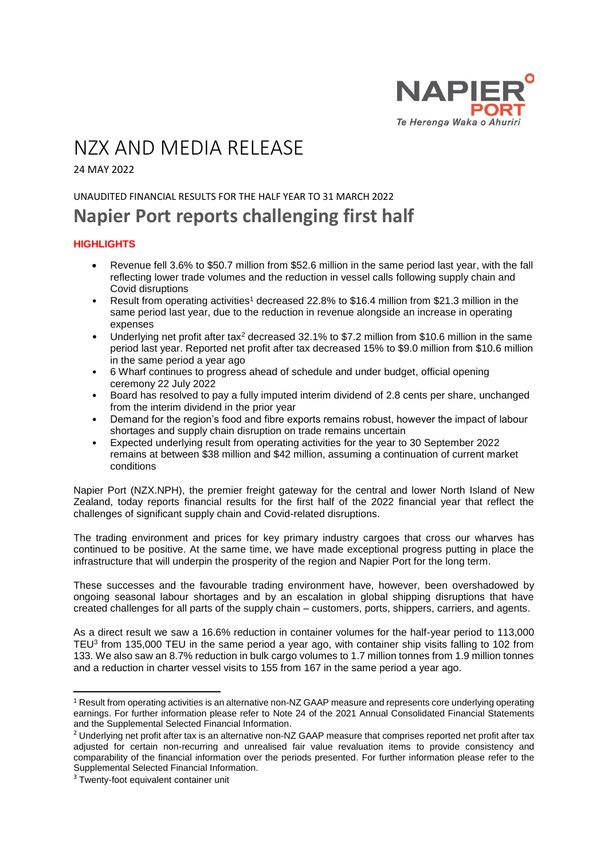

# NZX AND MEDIA RELEASE

24 MAY 2022

### UNAUDITED FINANCIAL RESULTS FOR THE HALF YEAR TO 31 MARCH 2022

# **Napier Port reports challenging first half**

## **HIGHLIGHTS**

- Revenue fell 3.6% to \$50.7 million from \$52.6 million in the same period last year, with the fall reflecting lower trade volumes and the reduction in vessel calls following supply chain and Covid disruptions
- Result from operating activities<sup>1</sup> decreased 22.8% to \$16.4 million from \$21.3 million in the same period last year, due to the reduction in revenue alongside an increase in operating expenses
- Underlying net profit after tax<sup>2</sup> decreased 32.1% to \$7.2 million from \$10.6 million in the same period last year. Reported net profit after tax decreased 15% to \$9.0 million from \$10.6 million in the same period a year ago
- 6 Wharf continues to progress ahead of schedule and under budget, official opening ceremony 22 July 2022
- Board has resolved to pay a fully imputed interim dividend of 2.8 cents per share, unchanged from the interim dividend in the prior year
- Demand for the region's food and fibre exports remains robust, however the impact of labour shortages and supply chain disruption on trade remains uncertain
- Expected underlying result from operating activities for the year to 30 September 2022 remains at between \$38 million and \$42 million, assuming a continuation of current market conditions

Napier Port (NZX.NPH), the premier freight gateway for the central and lower North Island of New Zealand, today reports financial results for the first half of the 2022 financial year that reflect the challenges of significant supply chain and Covid-related disruptions.

The trading environment and prices for key primary industry cargoes that cross our wharves has continued to be positive. At the same time, we have made exceptional progress putting in place the infrastructure that will underpin the prosperity of the region and Napier Port for the long term.

These successes and the favourable trading environment have, however, been overshadowed by ongoing seasonal labour shortages and by an escalation in global shipping disruptions that have created challenges for all parts of the supply chain – customers, ports, shippers, carriers, and agents.

As a direct result we saw a 16.6% reduction in container volumes for the half-year period to 113,000 TEU<sup>3</sup> from 135,000 TEU in the same period a year ago, with container ship visits falling to 102 from 133. We also saw an 8.7% reduction in bulk cargo volumes to 1.7 million tonnes from 1.9 million tonnes and a reduction in charter vessel visits to 155 from 167 in the same period a year ago.

**<sup>.</sup>** <sup>1</sup> Result from operating activities is an alternative non-NZ GAAP measure and represents core underlying operating earnings. For further information please refer to Note 24 of the 2021 Annual Consolidated Financial Statements and the Supplemental Selected Financial Information.

<sup>&</sup>lt;sup>2</sup> Underlying net profit after tax is an alternative non-NZ GAAP measure that comprises reported net profit after tax adjusted for certain non-recurring and unrealised fair value revaluation items to provide consistency and comparability of the financial information over the periods presented. For further information please refer to the Supplemental Selected Financial Information.

<sup>&</sup>lt;sup>3</sup> Twenty-foot equivalent container unit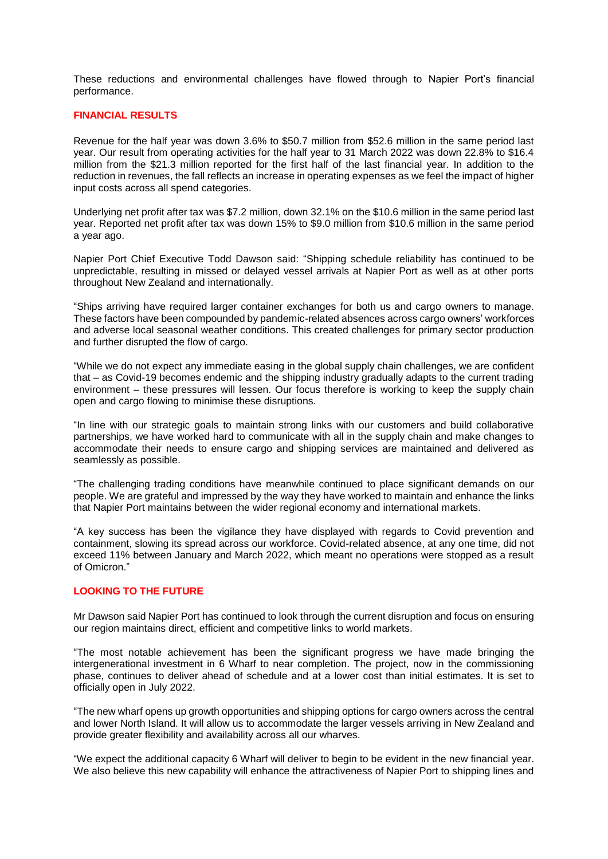These reductions and environmental challenges have flowed through to Napier Port's financial performance.

#### **FINANCIAL RESULTS**

Revenue for the half year was down 3.6% to \$50.7 million from \$52.6 million in the same period last year. Our result from operating activities for the half year to 31 March 2022 was down 22.8% to \$16.4 million from the \$21.3 million reported for the first half of the last financial year. In addition to the reduction in revenues, the fall reflects an increase in operating expenses as we feel the impact of higher input costs across all spend categories.

Underlying net profit after tax was \$7.2 million, down 32.1% on the \$10.6 million in the same period last year. Reported net profit after tax was down 15% to \$9.0 million from \$10.6 million in the same period a year ago.

Napier Port Chief Executive Todd Dawson said: "Shipping schedule reliability has continued to be unpredictable, resulting in missed or delayed vessel arrivals at Napier Port as well as at other ports throughout New Zealand and internationally.

"Ships arriving have required larger container exchanges for both us and cargo owners to manage. These factors have been compounded by pandemic-related absences across cargo owners' workforces and adverse local seasonal weather conditions. This created challenges for primary sector production and further disrupted the flow of cargo.

"While we do not expect any immediate easing in the global supply chain challenges, we are confident that – as Covid-19 becomes endemic and the shipping industry gradually adapts to the current trading environment – these pressures will lessen. Our focus therefore is working to keep the supply chain open and cargo flowing to minimise these disruptions.

"In line with our strategic goals to maintain strong links with our customers and build collaborative partnerships, we have worked hard to communicate with all in the supply chain and make changes to accommodate their needs to ensure cargo and shipping services are maintained and delivered as seamlessly as possible.

"The challenging trading conditions have meanwhile continued to place significant demands on our people. We are grateful and impressed by the way they have worked to maintain and enhance the links that Napier Port maintains between the wider regional economy and international markets.

"A key success has been the vigilance they have displayed with regards to Covid prevention and containment, slowing its spread across our workforce. Covid-related absence, at any one time, did not exceed 11% between January and March 2022, which meant no operations were stopped as a result of Omicron."

#### **LOOKING TO THE FUTURE**

Mr Dawson said Napier Port has continued to look through the current disruption and focus on ensuring our region maintains direct, efficient and competitive links to world markets.

"The most notable achievement has been the significant progress we have made bringing the intergenerational investment in 6 Wharf to near completion. The project, now in the commissioning phase, continues to deliver ahead of schedule and at a lower cost than initial estimates. It is set to officially open in July 2022.

"The new wharf opens up growth opportunities and shipping options for cargo owners across the central and lower North Island. It will allow us to accommodate the larger vessels arriving in New Zealand and provide greater flexibility and availability across all our wharves.

"We expect the additional capacity 6 Wharf will deliver to begin to be evident in the new financial year. We also believe this new capability will enhance the attractiveness of Napier Port to shipping lines and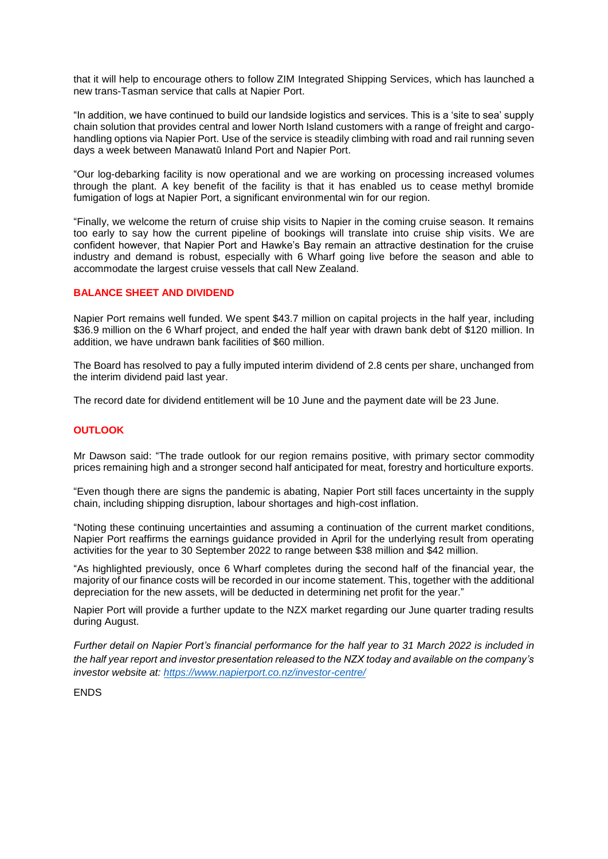that it will help to encourage others to follow ZIM Integrated Shipping Services, which has launched a new trans-Tasman service that calls at Napier Port.

"In addition, we have continued to build our landside logistics and services. This is a 'site to sea' supply chain solution that provides central and lower North Island customers with a range of freight and cargohandling options via Napier Port. Use of the service is steadily climbing with road and rail running seven days a week between Manawatū Inland Port and Napier Port.

"Our log-debarking facility is now operational and we are working on processing increased volumes through the plant. A key benefit of the facility is that it has enabled us to cease methyl bromide fumigation of logs at Napier Port, a significant environmental win for our region.

"Finally, we welcome the return of cruise ship visits to Napier in the coming cruise season. It remains too early to say how the current pipeline of bookings will translate into cruise ship visits. We are confident however, that Napier Port and Hawke's Bay remain an attractive destination for the cruise industry and demand is robust, especially with 6 Wharf going live before the season and able to accommodate the largest cruise vessels that call New Zealand.

#### **BALANCE SHEET AND DIVIDEND**

Napier Port remains well funded. We spent \$43.7 million on capital projects in the half year, including \$36.9 million on the 6 Wharf project, and ended the half year with drawn bank debt of \$120 million. In addition, we have undrawn bank facilities of \$60 million.

The Board has resolved to pay a fully imputed interim dividend of 2.8 cents per share, unchanged from the interim dividend paid last year.

The record date for dividend entitlement will be 10 June and the payment date will be 23 June.

#### **OUTLOOK**

Mr Dawson said: "The trade outlook for our region remains positive, with primary sector commodity prices remaining high and a stronger second half anticipated for meat, forestry and horticulture exports.

"Even though there are signs the pandemic is abating, Napier Port still faces uncertainty in the supply chain, including shipping disruption, labour shortages and high-cost inflation.

"Noting these continuing uncertainties and assuming a continuation of the current market conditions, Napier Port reaffirms the earnings guidance provided in April for the underlying result from operating activities for the year to 30 September 2022 to range between \$38 million and \$42 million.

"As highlighted previously, once 6 Wharf completes during the second half of the financial year, the majority of our finance costs will be recorded in our income statement. This, together with the additional depreciation for the new assets, will be deducted in determining net profit for the year."

Napier Port will provide a further update to the NZX market regarding our June quarter trading results during August.

*Further detail on Napier Port's financial performance for the half year to 31 March 2022 is included in the half year report and investor presentation released to the NZX today and available on the company's investor website at:<https://www.napierport.co.nz/investor-centre/>*

ENDS